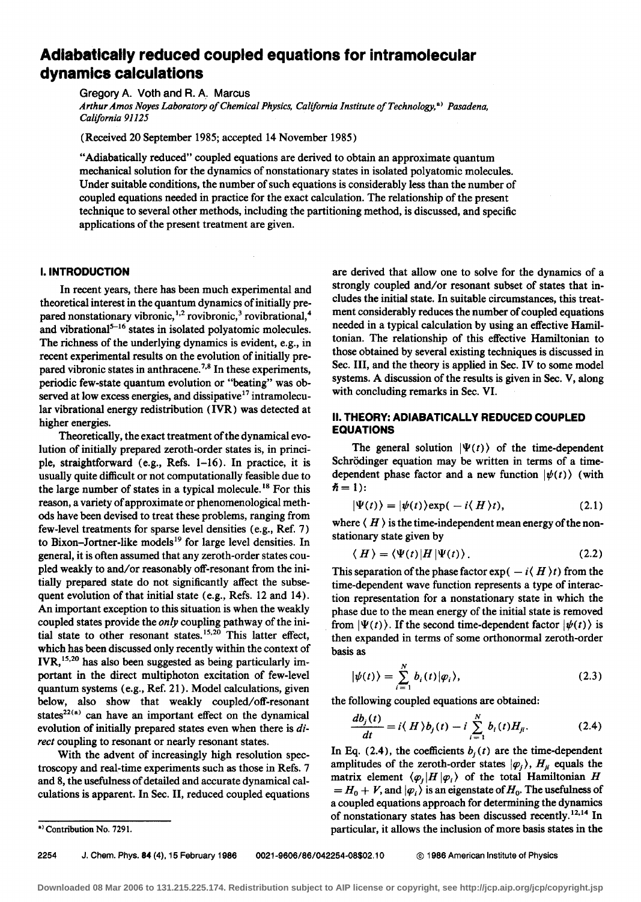# **Adiabatically reduced coupled equations for intramolecular dynamics calculations**

Gregory A. Voth and R. A. Marcus *Arthur Amos Noyes Laboratory of Chemical Physics, California Institute of Technology,* •> *Pasadena, California 91125* 

(Received 20 September 1985; accepted 14 November 1985)

"Adiabatically reduced" coupled equations are derived to obtain an approximate quantum mechanical solution for the dynamics of nonstationary states in isolated polyatomic molecules. Under suitable conditions, the number of such equations is considerably less than the number of coupled equations needed in practice for the exact calculation. The relationship of the present technique to several other methods, including the partitioning method, is discussed, and specific applications of the present treatment are given.

# I. **INTRODUCTION**

In recent years, there has been much experimental and theoretical interest in the quantum dynamics of initially prepared nonstationary vibronic,<sup>1,2</sup> rovibronic,<sup>3</sup> rovibrational,<sup>4</sup> and vibrational<sup>5-16</sup> states in isolated polyatomic molecules. The richness of the underlying dynamics is evident, e.g., in recent experimental results on the evolution of initially prepared vibronic states in anthracene.<sup>7,8</sup> In these experiments, periodic few-state quantum evolution or "beating" was observed at low excess energies, and dissipative<sup>17</sup> intramolecular vibrational energy redistribution (IVR) was detected at higher energies.

Theoretically, the exact treatment of the dynamical evolution of initially prepared zeroth-order states is, in principle, straightforward (e.g., Refs. 1-16). In practice, it is usually quite difficult or not computationally feasible due to the large number of states in a typical molecule. 18 For this reason, a variety of approximate or phenomenological methods have been devised to treat these problems, ranging from few-level treatments for sparse level densities (e.g., Ref. 7) to Bixon-Jortner-like models<sup>19</sup> for large level densities. In general, it is often assumed that any zeroth-order states coupled weakly to and/or reasonably off-resonant from the initially prepared state do not significantly affect the subsequent evolution of that initial state (e.g., Refs. 12 and 14). An important exception to this situation is when the weakly coupled states provide the *only* coupling pathway of the initial state to other resonant states.<sup>15,20</sup> This latter effect, which has been discussed only recently within the context of IVR,<sup>15,20</sup> has also been suggested as being particularly important in the direct multiphoton excitation of few-level quantum systems (e.g., Ref. 21). Model calculations, given below, also show that weakly coupled/off-resonant states<sup>22(a)</sup> can have an important effect on the dynamical evolution of initially prepared states even when there is *direct* coupling to resonant or nearly resonant states.

With the advent of increasingly high resolution spectroscopy and real~time experiments such as those in Refs. 7 and 8, the usefulness of detailed and accurate dynamical calculations is apparent. In Sec. II, reduced coupled equations are derived that allow one to solve for the dynamics of a strongly coupled and/or resonant subset of states that includes the initial state. In suitable circumstances, this treatment considerably reduces the number of coupled equations needed in a typical calculation by using an effective Hamiltonian. The relationship of this effective Hamiltonian to those obtained by several existing techniques is discussed in Sec. Ill, and the theory is applied in Sec. IV to some model systems. A discussion of the results is given in Sec. V, along with concluding remarks in Sec. VI.

#### II. **THEORY: ADIABATICALLY REDUCED COUPLED EQUATIONS**

The general solution  $|\Psi(t)\rangle$  of the time-dependent Schrödinger equation may be written in terms of a timedependent phase factor and a new function  $|\psi(t)\rangle$  (with  $\hslash = 1$ :

$$
|\Psi(t)\rangle = |\psi(t)\rangle \exp(-i\langle H \rangle t), \qquad (2.1)
$$

where  $\langle H \rangle$  is the time-independent mean energy of the nonstationary state given by

$$
\langle H \rangle = \langle \Psi(t) | H | \Psi(t) \rangle. \tag{2.2}
$$

This separation of the phase factor  $exp(-i\langle H \rangle t)$  from the time-dependent wave function represents a type of interaction representation for a nonstationary state in which the phase due to the mean energy of the initial state is removed from  $|\Psi(t)\rangle$ . If the second time-dependent factor  $|\psi(t)\rangle$  is then expanded in terms of some orthonormal zeroth-order basis as

$$
|\psi(t)\rangle = \sum_{i=1}^{N} b_i(t) |\varphi_i\rangle, \qquad (2.3)
$$

the following coupled equations are obtained:

$$
\frac{db_j(t)}{dt} = i\langle H \rangle b_j(t) - i\sum_{i=1}^N b_i(t)H_{ji}.
$$
 (2.4)

In Eq. (2.4), the coefficients  $b_i(t)$  are the time-dependent amplitudes of the zeroth-order states  $|\varphi_i\rangle$ ,  $H_{ji}$  equals the matrix element  $\langle \varphi_i | H | \varphi_i \rangle$  of the total Hamiltonian H  $=$  *H*<sub>0</sub> + *V*, and  $|\varphi_i\rangle$  is an eigenstate of *H*<sub>0</sub>. The usefulness of a coupled equations approach for determining the dynamics of nonstationary states has been discussed recently.<sup>12,14</sup> In particular, it allows the inclusion of more basis states in the

2254 J. Chern. Phys. 84 {4), 15 February 1986 0021-9606/86/042254-08\$02.10 © 1986 American Institute of Physics

<sup>&</sup>lt;sup>a)</sup> Contribution No. 7291.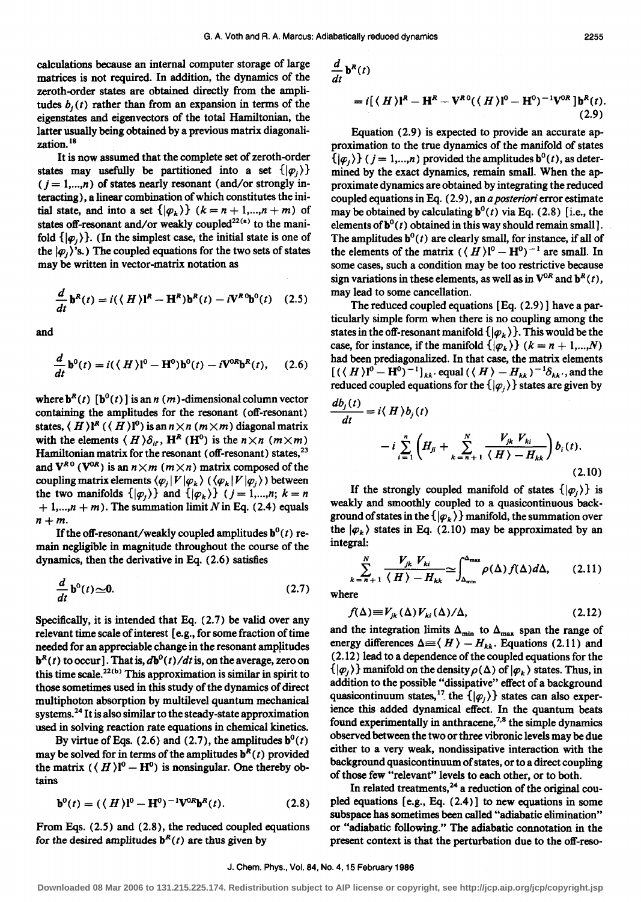calculations because an internal computer storage of large matrices is not required. In addition, the dynamics of the zeroth-order states are obtained directly from the amplitudes  $b_j(t)$  rather than from an expansion in terms of the eigenstates and eigenvectors of the total Hamiltonian, the latter usually being obtained by a previous matrix diagonalization.<sup>18</sup>

It is now assumed that the complete set of zeroth-order states may usefully be partitioned into a set  $\{|\varphi_i\rangle\}$  $(j = 1, ..., n)$  of states nearly resonant (and/or strongly interacting), a linear combination of which constitutes the initial state, and into a set  $\{|\varphi_k\rangle\}$   $(k = n + 1, ..., n + m)$  of states off-resonant and/or weakly coupled<sup>22(a)</sup> to the manifold  $\{|\varphi_1 \rangle\}$ . (In the simplest case, the initial state is one of the  $|\varphi_i\rangle$ 's.) The coupled equations for the two sets of states may be written in vector-matrix notation as

$$
\frac{d}{dt}\mathbf{b}^{R}(t) = i(\langle H \rangle)^{R} - \mathbf{H}^{R})\mathbf{b}^{R}(t) - i\mathbf{V}^{R}\mathbf{0}\mathbf{b}^{0}(t) \quad (2.5)
$$

and

$$
\frac{d}{dt}\mathbf{b}^0(t) = i(\langle H \rangle\mathbf{l}^0 - \mathbf{H}^0)\mathbf{b}^0(t) - i\mathbf{V}^{0R}\mathbf{b}^R(t), \quad (2.6)
$$

where  $\mathbf{b}^{R}(t)$  [ $\mathbf{b}^{0}(t)$ ] is an n (m)-dimensional column vector containing the amplitudes for the resonant (off-resonant) states,  $(H)$ <sup>R</sup> ( $(H)$ <sup>0</sup>) is an  $n \times n$  ( $m \times m$ ) diagonal matrix with the elements  $\langle H \rangle \delta_{ii}$ ,  $H^R(H^0)$  is the  $n \times n$   $(m \times m)$ Hamiltonian matrix for the resonant (off-resonant) states,<sup>23</sup> and  $V^{R0}$  ( $V^{0R}$ ) is an  $n \times m$  ( $m \times n$ ) matrix composed of the coupling matrix elements  $\langle \varphi_i | V | \varphi_k \rangle$  ( $\langle \varphi_k | V | \varphi_i \rangle$ ) between the two manifolds  $\{|\varphi_1 \rangle\}$  and  $\{|\varphi_k \rangle\}$  ( $j = 1,...,n; k = n$  $+ 1,...,n + m$ . The summation limit N in Eq. (2.4) equals  $n+m$ .

If the off-resonant/weakly coupled amplitudes  $\mathbf{b}^0(t)$  remain negligible in magnitude throughout the course of the dynamics, then the derivative in Eq. (2.6) satisfies

$$
\frac{d}{dt}\mathbf{b}^0(t) \approx 0. \tag{2.7}
$$

Specifically, it is intended that Eq. (2.7) be valid over any relevant time scale of interest [e.g., for some fraction of time needed for an appreciable change in the resonant amplitudes  $\mathbf{b}^R(t)$  to occur]. That is,  $d\mathbf{b}^0(t)/dt$  is, on the average, zero on this time scale.<sup>22(b)</sup> This approximation is similar in spirit to those sometimes used in this study of the dynamics of direct multiphoton absorption by multilevel quantum mechanical systems. 24 It is also similar to the steady-state approximation used in solving reaction rate equations in chemical kinetics.

By virtue of Eqs. (2.6) and (2.7), the amplitudes  $\mathbf{b}^0(t)$ may be solved for in terms of the amplitudes  $\mathbf{b}^R(t)$  provided the matrix  $({\langle H \rangle}^0 - H^0)$  is nonsingular. One thereby obtains

$$
\mathbf{b}^{0}(t) = (\langle H \rangle)^{0} - \mathbf{H}^{0})^{-1} \mathbf{V}^{0R} \mathbf{b}^{R}(t). \tag{2.8}
$$

From Eqs. (2.5) and (2.8), the reduced coupled equations for the desired amplitudes  $b^R(t)$  are thus given by

$$
\frac{d}{dt}\mathbf{b}^{R}(t)
$$
\n
$$
= i\left[\langle H\rangle\mathbf{I}^{R} - \mathbf{H}^{R} - \mathbf{V}^{R}\mathbf{0}(\langle H\rangle\mathbf{I}^{0} - \mathbf{H}^{0})^{-1}\mathbf{V}^{0R}\right]\mathbf{b}^{R}(t).
$$

Equation (2.9) is expected to provide an accurate approximation to the true dynamics of the manifold of states  $\{\vert \varphi_i \rangle\}$  ( $j = 1,...,n$ ) provided the amplitudes  $\mathbf{b}^0(t)$ , as determined by the exact dynamics, remain small. When the approximate dynamics are obtained by integrating the reduced coupled equations in Eq. (2.9), an *a posteriori* error estimate may be obtained by calculating  $b^0(t)$  via Eq. (2.8) [i.e., the elements of  $\mathbf{b}^0(t)$  obtained in this way should remain small]. The amplitudes  $\mathbf{b}^0(t)$  are clearly small, for instance, if all of the elements of the matrix  $({\langle H \rangle}]^{0} - H^{0})^{-1}$  are small. In some cases, such a condition may be too restrictive because sign variations in these elements, as well as in  $V^{OR}$  and  $b^R(t)$ , may lead to some cancellation.

The reduced coupled equations [Eq. (2.9)] have a particularly simple form when there is no coupling among the states in the off-resonant manifold  $\{|\varphi_k\rangle\}$ . This would be the case, for instance, if the manifold  $\{|\varphi_k\rangle\}$  ( $k = n + 1,...,N$ ) had been prediagonalized. In that case, the matrix elements  $[(\langle H \rangle]^0 - H^0)^{-1}]_{kk'}$  equal  $(\langle H \rangle - H_{kk})^{-1}\delta_{kk'}$ , and the reduced coupled equations for the  $\{|\varphi_i \rangle\}$  states are given by

$$
\frac{db_j(t)}{dt} = i \langle H \rangle b_j(t)
$$

$$
-i \sum_{i=1}^n \left( H_{ji} + \sum_{k=n+1}^N \frac{V_{jk} V_{ki}}{\langle H \rangle - H_{kk}} \right) b_i(t).
$$
(2.10)

If the strongly coupled manifold of states  $\{|\varphi_i\rangle\}$  is weakly and smoothly coupled to a quasicontinuous background of states in the  $\{|\varphi_k\rangle\}$  manifold, the summation over the  $|\varphi_k\rangle$  states in Eq. (2.10) may be approximated by an integral:

$$
\sum_{k=n+1}^{N} \frac{V_{jk} V_{ki}}{\langle H \rangle - H_{kk}} \simeq \int_{\Delta_{\min}}^{\Delta_{\max}} \rho(\Delta) f(\Delta) d\Delta, \qquad (2.11)
$$

where

$$
f(\Delta) \equiv V_{jk}(\Delta) V_{ki}(\Delta) / \Delta, \qquad (2.12)
$$

and the integration limits  $\Delta_{\text{min}}$  to  $\Delta_{\text{max}}$  span the range of energy differences  $\Delta = \langle H \rangle - H_{kk}$ . Equations (2.11) and ( 2.12) lead to a dependence of the coupled equations for the  $\{|\varphi_1\rangle\}$  manifold on the density  $\rho(\Delta)$  of  $|\varphi_k\rangle$  states. Thus, in addition to the possible "dissipative" effect of a background quasicontinuum states, <sup>17</sup> the  $\{|\varphi_i \rangle\}$  states can also experience this added dynamical effect. In the quantum beats found experimentally in anthracene,<sup>7,8</sup> the simple dynamics observed between the two or three vibronic levels may be due either to a very weak, nondissipative interaction with the background quasicontinuum of states, or to a direct coupling of those few "relevant" levels to each other, or to both.

In related treatments,  $24$  a reduction of the original coupled equations [e.g., Eq. (2.4)] to new equations in some subspace has sometimes been called "adiabatic elimination" or "adiabatic following." The adiabatic connotation in the present context is that the perturbation due to the off-reso-

(2.9)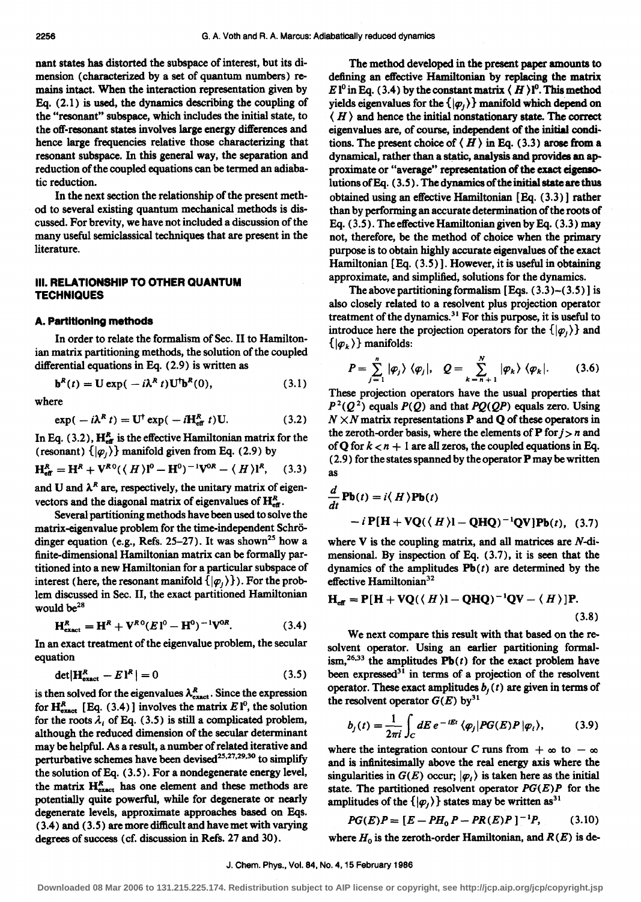nant states has distorted the subspace of interest, but its dimension (characterized by a set of quantum numbers) remains intact. When the interaction representation given by Eq. (2.1) is used, the dynamics describing the coupling of the "resonant'' subspace, which includes the initial state, to the off-resonant states involves large energy differences and hence large frequencies relative those characterizing that resonant subspace. In this general way, the separation and reduction of the coupled equations can be termed an adiabatic reduction.

In the next section the relationship of the present method to several existing quantum mechanical methods is discussed. For brevity, we have not included a discussion of the many useful semiclassical techniques that are present in the literature.

# Ill. **RELATIONSHIP TO OTHER QUANTUM TECHNIQUES**

# **A. Partitioning methods**

In order to relate the formalism of Sec. II to Hamiltonian matrix partitioning methods, the solution of the coupled differential equations in Eq. (2.9) is written as

$$
\mathbf{b}^{R}(t) = \mathbf{U} \exp(-i\lambda^{R} t) \mathbf{U}^{\dagger} \mathbf{b}^{R}(0), \qquad (3.1)
$$

where

$$
\exp(-i\lambda^{R} t) = \mathbf{U}^{\dagger} \exp(-i\mathbf{H}_{\text{eff}}^{R} t) \mathbf{U}. \tag{3.2}
$$

In Eq. (3.2),  $H_{\text{eff}}^{R}$  is the effective Hamiltonian matrix for the (resonant)  $\{|\varphi_i \rangle\}$  manifold given from Eq. (2.9) by

$$
H_{\text{eff}}^{R} = H^{R} + V^{R0}(\langle H \rangle)^{0} - H^{0})^{-1}V^{0R} - \langle H \rangle I^{R}, \quad (3.3)
$$

and U and  $\lambda^R$  are, respectively, the unitary matrix of eigenvectors and the diagonal matrix of eigenvalues of  $H_{\text{eff}}^R$ .

Several partitioning methods have been used to solve the matrix-eigenvalue problem for the time-independent Schrodinger equation (e.g., Refs. 25-27). It was shown<sup>25</sup> how a finite-dimensional Hamiltonian matrix can be formally partitioned into a new Hamiltonian for a particular subspace of interest (here, the resonant manifold  $\{|\varphi_1 \rangle\}$ ). For the problem discussed in Sec. II, the exact partitioned Hamiltonian would be<sup>28</sup>

$$
\mathbf{H}_{\text{exact}}^R = \mathbf{H}^R + \mathbf{V}^{R0} (E \, \mathbf{I}^0 - \mathbf{H}^0)^{-1} \mathbf{V}^{0R}. \tag{3.4}
$$

In an exact treatment of the eigenvalue problem, the secular equation

$$
\det|\mathbf{H}_{\text{exact}}^R - E\mathbf{1}^R| = 0 \tag{3.5}
$$

is then solved for the eigenvalues  $\lambda_{\text{exact}}^R$ . Since the expression for  $H_{\text{exact}}^R$  [Eq. (3.4)] involves the matrix  $E \, \mathbf{l}^0$ , the solution for the roots  $\lambda_i$  of Eq. (3.5) is still a complicated problem, although the reduced dimension of the secular determinant may be helpful. As a result, a number of related iterative and perturbative schemes have been devised<sup>25,27,29,30</sup> to simplify the solution of Eq. (3.5). For a nondegenerate energy level, the matrix  $H_{\text{exact}}^R$  has one element and these methods are potentially quite powerful, while for degenerate or nearly degenerate levels, approximate approaches based on Eqs. (3.4) and (3.5) aremoredifficultandhavemetwith varying degrees of success (cf. discussion in Refs. 27 and 30).

The method developed in the present paper amounts to defining an effective Hamiltonian by replacing the matrix E l<sup>o</sup> in Eq. (3.4) by the constant matrix  $\langle H \rangle$ <sup>0</sup>. This method yields eigenvalues for the  $\{|\varphi_1\rangle\}$  manifold which depend on  $\langle H \rangle$  and hence the initial nonstationary state. The correct eigenvalues are, of course, independent of the initial conditions. The present choice of  $\langle H \rangle$  in Eq. (3.3) arose from a dynamical, rather than a static, analysis and provides an approximate or "average" representation of the exact eigensolutions of Eq. (3.5). The dynamics of the initial state are thus obtained using an effective Hamiltonian [Eq. (3.3)] rather than by performing an accurate determination of the roots of Eq.  $(3.5)$ . The effective Hamiltonian given by Eq.  $(3.3)$  may not, therefore, be the method of choice when the primary purpose is to obtain highly accurate eigenvalues of the exact Hamiltonian [ Eq. ( 3.5)]. However, it is useful in obtaining approximate, and simplified, solutions for the dynamics.

The above partitioning formalism  $[Eqs. (3.3)–(3.5)]$  is also closely related to a resolvent plus projection operator treatment of the dynamics.<sup>31</sup> For this purpose, it is useful to introduce here the projection operators for the  $\{|\varphi_1\rangle\}$  and  $\{|\varphi_k\rangle\}$  manifolds:

$$
P = \sum_{j=1}^{n} |\varphi_j\rangle \langle \varphi_j|, \quad Q = \sum_{k=n+1}^{N} |\varphi_k\rangle \langle \varphi_k|.
$$
 (3.6)

These projection operators have the usual properties that  $P<sup>2</sup>(Q<sup>2</sup>)$  equals  $P(Q)$  and that  $PQ(QP)$  equals zero. Using  $N \times N$  matrix representations **P** and **Q** of these operators in the zeroth-order basis, where the elements of  $P$  for  $j > n$  and of Q for  $k < n + 1$  are all zeros, the coupled equations in Eq. (2.9) for the states spanned by the operator P may be written as

$$
\frac{d}{dt} \mathbf{Pb}(t) = i \langle H \rangle \mathbf{Pb}(t)
$$
  
-  $i \mathbf{P} [\mathbf{H} + \mathbf{V} \mathbf{Q} (\langle H \rangle] - \mathbf{Q} \mathbf{H} \mathbf{Q})^{-1} \mathbf{Q} \mathbf{V} ] \mathbf{Pb}(t), (3.7)$ 

where V is the coupling matrix, and all matrices are *N*-dimensional. By inspection of Eq. (3.7), it is seen that the dynamics of the amplitudes  $Pb(t)$  are determined by the effective Hamiltonian $32$ 

$$
\mathbf{H}_{\text{eff}} = \mathbf{P}[\mathbf{H} + \mathbf{VQ}(\langle H \rangle) - \mathbf{Q}\mathbf{HQ})^{-1}\mathbf{Q}\mathbf{V} - \langle H \rangle]\mathbf{P}.
$$
\n(3.8)

We next compare this result with that based on the resolvent operator. Using an earlier partitioning formalism,<sup>26,33</sup> the amplitudes  $Pb(t)$  for the exact problem have been expressed $31$  in terms of a projection of the resolvent operator. These exact amplitudes  $b<sub>i</sub>(t)$  are given in terms of the resolvent operator  $G(E)$  by<sup>31</sup>

$$
b_j(t) = \frac{1}{2\pi i} \int_C dE \, e^{-iEt} \, \langle \varphi_j | PG(E) P | \varphi_i \rangle, \tag{3.9}
$$

where the integration contour *C* runs from  $+ \infty$  to  $- \infty$ and is infinitesimally above the real energy axis where the singularities in  $G(E)$  occur;  $|\varphi_1\rangle$  is taken here as the initial state. The partitioned resolvent operator  $PG(E)P$  for the amplitudes of the  $\{|\varphi_1 \rangle\}$  states may be written as<sup>31</sup>

$$
PG(E)P = [E - PH_0P - PR(E)P]^{-1}P, \qquad (3.10)
$$

where  $H_0$  is the zeroth-order Hamiltonian, and  $R(E)$  is de-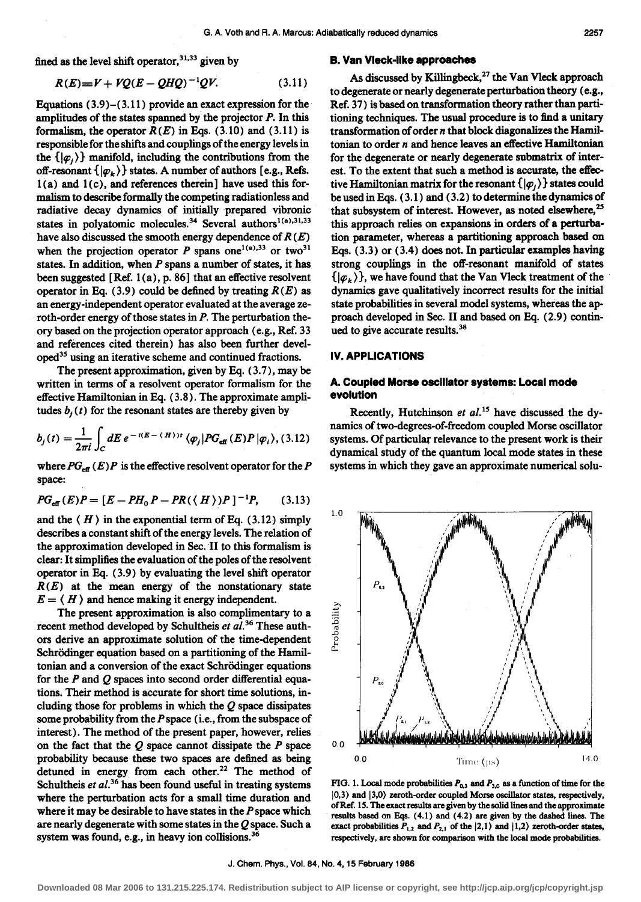fined as the level shift operator,  $31,33$  given by

$$
R(E) = V + VQ(E - QHQ)^{-1}QV.
$$
 (3.11)

Equations (3.9)-(3.11) provide an exact expression for the amplitudes of the states spanned by the projector  $P$ . In this formalism, the operator  $R(E)$  in Eqs. (3.10) and (3.11) is responsible for the shifts and couplings of the energy levels in the  $\{|\varphi_1\rangle\}$  manifold, including the contributions from the off-resonant  $\{|\varphi_k\rangle\}$  states. A number of authors [e.g., Refs.  $1(a)$  and  $1(c)$ , and references therein] have used this formalism to describe formally the competing radiationless and radiative decay dynamics of initially prepared vibronic states in polyatomic molecules.<sup>34</sup> Several authors<sup>1(a),31,33</sup> have also discussed the smooth energy dependence of  $R(E)$ when the projection operator *P* spans one<sup>1(a),33</sup> or two<sup>31</sup> states. In addition, when *P* spans a number of states, it has been suggested [Ref. 1 (a), p. 86] that an effective resolvent operator in Eq. (3.9) could be defined by treating  $R(E)$  as an energy-independent operator evaluated at the average zeroth-order energy of those states in P. The perturbation theory based on the projection operator approach (e.g., Ref. 33 and references cited therein) has also been further developed35 using an iterative scheme and continued fractions.

The present approximation, given by Eq. (3.7), may be written in terms of a resolvent operator formalism for the effective Hamiltonian in Eq. ( 3.8). The approximate amplitudes  $b<sub>i</sub>(t)$  for the resonant states are thereby given by

$$
b_j(t) = \frac{1}{2\pi i} \int_C dE \, e^{-i(E - \langle H \rangle)t} \, \langle \varphi_j | PG_{\text{eff}}(E) P | \varphi_i \rangle, (3.12)
$$

where  $PG_{\text{eff}}(E)P$  is the effective resolvent operator for the P space:

$$
PG_{\text{eff}}(E)P = [E - PH_0P - PR(\langle H \rangle)P]^{-1}P, \qquad (3.13)
$$

and the  $\langle H \rangle$  in the exponential term of Eq. (3.12) simply describes a constant shift of the energy levels. The relation of the approximation developed in Sec. II to this formalism is clear: It simplifies the evaluation of the poles of the resolvent operator in Eq. (3.9) by evaluating the level shift operator  $R(E)$  at the mean energy of the nonstationary state  $E = \langle H \rangle$  and hence making it energy independent.

The present approximation is also complimentary to a recent method developed by Schultheis *et al.*<sup>36</sup> These authors derive an approximate solution of the time-dependent Schrödinger equation based on a partitioning of the Hamiltonian and a conversion of the exact Schrödinger equations for the *P* and Q spaces into second order differential equations. Their method is accurate for short time solutions, including those for problems in which the  $Q$  space dissipates some probability from the *P* space (i.e., from the subspace of interest). The method of the present paper, however, relies on the fact that the  $Q$  space cannot dissipate the  $P$  space probability because these two spaces are defined as being detuned in energy from each other.<sup>22</sup> The method of Schultheis *et al.*<sup>36</sup> has been found useful in treating systems where the perturbation acts for a small time duration and where it may be desirable to have states in the *P* space which are nearly degenerate with some states in the Q space. Such a system was found, e.g., in heavy ion collisions.<sup>36</sup>

#### **B. Van Vleck-like approaches**

As discussed by Killingbeck,<sup>27</sup> the Van Vleck approach to degenerate or nearly degenerate perturbation theory (e.g., Ref. 37) is based on transformation theory rather than partitioning techniques. The usual procedure is to find a unitary transformation of order  $n$  that block diagonalizes the Hamiltonian to order *n* and hence leaves an effective Hamiltonian for the degenerate or nearly degenerate submatrix of interest. To the extent that such a method is accurate, the effective Hamiltonian matrix for the resonant  $\{|\varphi_{i}\rangle\}$  states could be used in Eqs. ( 3.1) and ( 3.2) to determine the dynamics of that subsystem of interest. However, as noted elsewhere,<sup>25</sup> this approach relies on expansions in orders of a perturbation parameter, whereas a partitioning approach based on Eqs. ( 3.3) or ( 3.4) does not. In particular examples having strong couplings in the off-resonant manifold of states  $\{|\varphi_k\rangle\}$ , we have found that the Van Vleck treatment of the dynamics gave qualitatively incorrect results for the initial state probabilities in several model systems, whereas the approach developed in Sec. II and based on Eq. (2.9) continued to give accurate results.<sup>38</sup>

# IV. **APPLICATIONS**

# **A. Coupled Morse oscillator systems: Local mode evolution**

Recently, Hutchinson *et al.*<sup>15</sup> have discussed the dynamics of two-degrees-of-freedom coupled Morse oscillator systems. Of particular relevance to the present work is their dynamical study of the quantum local mode states in these systems in which they gave an approximate numerical solu-



FIG. 1. Local mode probabilities  $P_{0,3}$  and  $P_{3,0}$  as a function of time for the  $|0,3\rangle$  and  $|3,0\rangle$  zeroth-order coupled Morse oscillator states, respectively, of Ref. 15. The exact results are given by the solid lines and the approximate results based on Eqs. (4.1) and (4.2) are given by the dashed lines. The exact probabilities  $P_{1,2}$  and  $P_{2,1}$  of the  $|2,1\rangle$  and  $|1,2\rangle$  zeroth-order states, respectively, are shown for comparison with the local mode probabilities.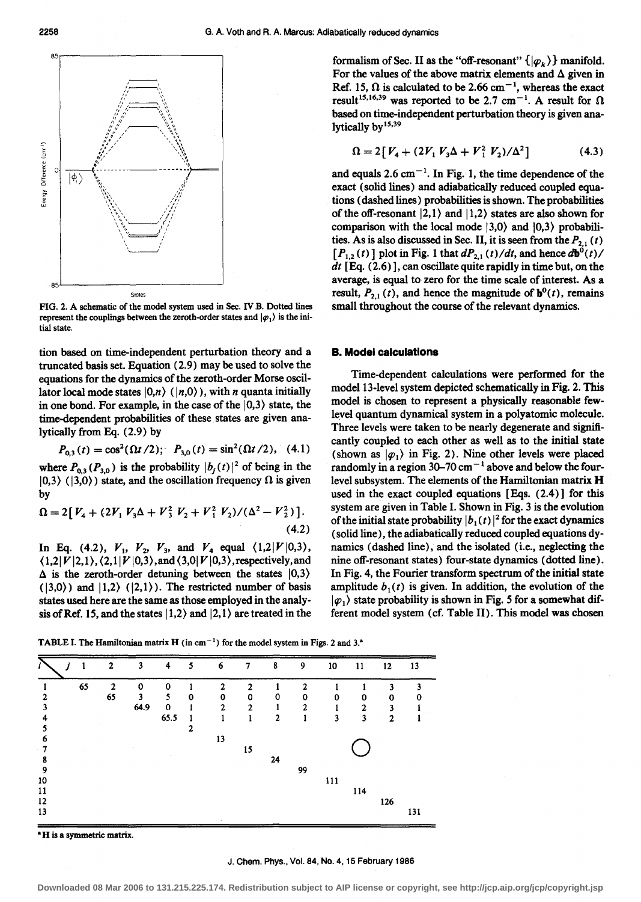

FIG. 2. A schematic of the model system used in Sec. IV B. Dotted lines represent the couplings between the zeroth-order states and  $|\varphi_1\rangle$  is the initial state.

tion based on time-independent perturbation theory and a truncated basis set. Equation (2.9) may be used to solve the equations for the dynamics of the zeroth-order Morse oscillator local mode states  $|0,n\rangle$  ( $|n,0\rangle$ ), with *n* quanta initially in one bond. For example, in the case of the  $|0,3\rangle$  state, the time-dependent probabilities of these states are given analytically from Eq. (2.9) by

$$
P_{0,3}(t) = \cos^2(\Omega t/2); \quad P_{3,0}(t) = \sin^2(\Omega t/2), \quad (4.1)
$$

where  $P_{0,3}(P_{3,0})$  is the probability  $|b_j(t)|^2$  of being in the  $|0,3\rangle$  ( $|3,0\rangle$ ) state, and the oscillation frequency  $\Omega$  is given by

$$
\Omega = 2[V_4 + (2V_1 V_3 \Delta + V_3^2 V_2 + V_1^2 V_2) / (\Delta^2 - V_2^2)].
$$
\n(4.2)

In Eq. (4.2),  $V_1$ ,  $V_2$ ,  $V_3$ , and  $V_4$  equal  $\langle 1,2|V|0,3 \rangle$ ,  $(1,2|V|2,1)$ ,  $(2,1|V|0,3)$ , and  $(3,0|V|0,3)$ , respectively, and  $\Delta$  is the zeroth-order detuning between the states  $|0,3\rangle$  $(|3,0\rangle)$  and  $|1,2\rangle$   $(|2,1\rangle)$ . The restricted number of basis states used here are the same as those employed in the analysis of Ref. 15, and the states  $|1,2\rangle$  and  $|2,1\rangle$  are treated in the formalism of Sec. II as the "off-resonant"  $\{|\varphi_k\rangle\}$  manifold. For the values of the above matrix elements and  $\Delta$  given in Ref. 15,  $\Omega$  is calculated to be 2.66 cm<sup>-1</sup>, whereas the exact result<sup>15,16,39</sup> was reported to be 2.7 cm<sup>-1</sup>. A result for  $\Omega$ based on time-independent perturbation theory is given analytically by<sup>15,39</sup>

$$
\Omega = 2[V_4 + (2V_1 V_3 \Delta + V_1^2 V_2) / \Delta^2]
$$
 (4.3)

and equals 2.6  $cm^{-1}$ . In Fig. 1, the time dependence of the exact (solid lines) and adiabatically reduced coupled equations (dashed lines) probabilities is shown. The probabilities of the off-resonant  $|2,1\rangle$  and  $|1,2\rangle$  states are also shown for comparison with the local mode  $|3,0\rangle$  and  $|0,3\rangle$  probabilities. As is also discussed in Sec. II, it is seen from the  $P_{2,1}(t)$  $[P_{1,2}(t)]$  plot in Fig. 1 that  $dP_{2,1}(t)/dt$ , and hence  $d\mathbf{b}^0(t)/dt$ *dt* [Eq. (2.6)], can oscillate quite rapidly in time but, on the average, is equal to zero for the time scale of interest. As a result,  $P_{2,1}(t)$ , and hence the magnitude of  $\mathbf{b}^0(t)$ , remains small throughout the course of the relevant dynamics.

#### **B. Model calculations**

Time-dependent calculations were performed for the model 13-level system depicted schematically in Fig. 2. This model is chosen to represent a physically reasonable fewlevel quantum dynamical system in a polyatomic molecule. Three levels were taken to be nearly degenerate and significantly coupled to each other as well as to the initial state (shown as  $|\varphi_1\rangle$  in Fig. 2). Nine other levels were placed randomly in a region  $30-70$  cm<sup> $-1$ </sup> above and below the fourlevel subsystem. The elements of the Hamiltonian matrix H used in the exact coupled equations [ Eqs. ( 2.4)] for this system are given in Table I. Shown in Fig. 3 is the evolution of the initial state probability  $|b_1(t)|^2$  for the exact dynamics (solid line), the adiabatically reduced coupled equations dynamics (dashed line), and the isolated (i.e., neglecting the nine off-resonant states) four-state dynamics (dotted line). In Fig. 4, the Fourier transform spectrum of the initial state amplitude  $b_1(t)$  is given. In addition, the evolution of the  $|\varphi_1\rangle$  state probability is shown in Fig. 5 for a somewhat different model system (cf. Table II). This model was chosen



• H is a symmetric matrix.

J. Chern. Phys., Vol. 84, No. 4, 15 February 1986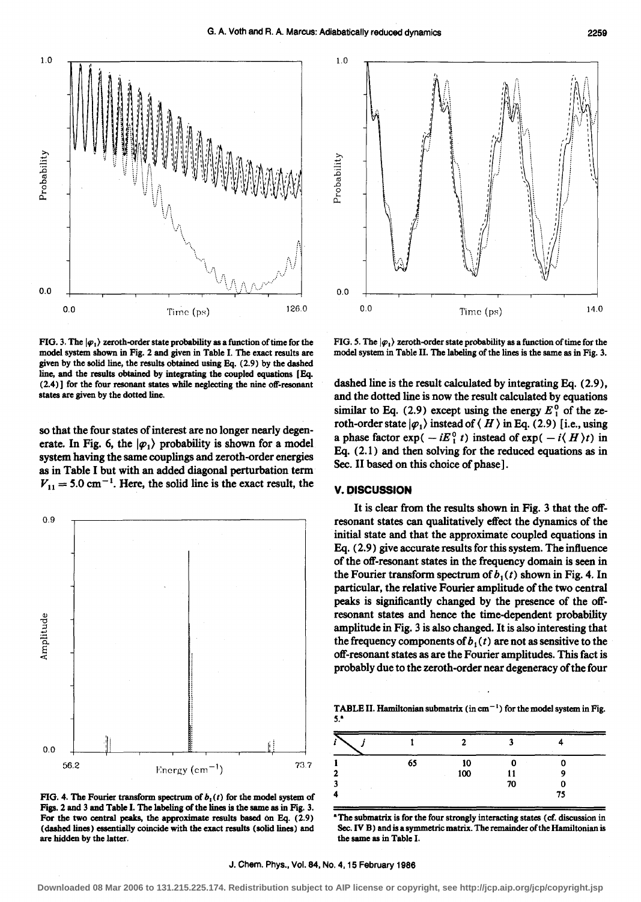FIG. 3. The  $|\varphi_1\rangle$  zeroth-order state probability as a function of time for the model system shown in Fig. 2 and given in Table I. The exact results are given by the solid line, the results obtained using Eq. (2.9) by the dashed line, and the results obtained by integrating the coupled equations [ Eq.  $(2.4)$ ] for the four resonant states while neglecting the nine off-resonant states are given by the dotted line.

so that the four states of interest are no longer nearly degenerate. In Fig. 6, the  $|\varphi_1\rangle$  probability is shown for a model system having the same couplings and zeroth-order energies as in Table I but with an added diagonal perturbation term  $V_{11} = 5.0 \text{ cm}^{-1}$ . Here, the solid line is the exact result, the

0.9 Amplitude 0.0 56.2 Finergy (cm<sup>-1</sup>)  $^{73.7}$ 

FIG. 4. The Fourier transform spectrum of  $b_1(t)$  for the model system of Figs. 2 and 3 and Table I. The labeling of the lines is the same as in Fig. 3. For the two central peaks, the approximate results based on Eq. (2.9) (dashed lines) essentially coincide with the exact results (solid lines) and are hidden by the latter.

FIG. 5. The  $|\varphi_1\rangle$  zeroth-order state probability as a function of time for the model system in Table II. The labeling of the lines is the same as in Fig. 3.

dashed line is the result calculated by integrating Eq. (2.9), and the dotted line is now the result calculated by equations similar to Eq.  $(2.9)$  except using the energy  $E_1^0$  of the zeroth-order state  $|\varphi_1\rangle$  instead of  $\langle H \rangle$  in Eq. (2.9) [i.e., using a phase factor exp(  $-iE_1^0$  t) instead of exp(  $-i\langle H \rangle t$ ) in Eq. ( 2.1) and then solving for the reduced equations as in Sec. II based on this choice of phase] .

#### **V. DISCUSSION**

It is clear from the results shown in Fig. 3 that the offresonant states can qualitatively effect the dynamics of the initial state and that the approximate coupled equations in Eq. (2.9) give accurate results for this system. The influence of the off-resonant states in the frequency domain is seen in the Fourier transform spectrum of  $b_1(t)$  shown in Fig. 4. In particular, the relative Fourier amplitude of the two central peaks is significantly changed by the presence of the offresonant states and hence the time-dependent probability amplitude in Fig. 3 is also changed. It is also interesting that the frequency components of  $b_1(t)$  are not as sensitive to the off-resonant states as are the Fourier amplitudes. This fact is probably due to the zeroth-order near degeneracy of the four

TABLE II. Hamiltonian submatrix (in  $cm^{-1}$ ) for the model system in Fig. 5."

| i |    |     | 2  |    |
|---|----|-----|----|----|
|   | 65 | 10  |    |    |
| 2 |    | 100 |    |    |
| 3 |    |     | 70 |    |
| 4 |    |     |    | 75 |

• The submatrix is for the four strongly interacting states ( cf. discussion in Sec. IV B) and is a symmetric matrix. The remainder of the Hamiltonian is the same as in Table I.





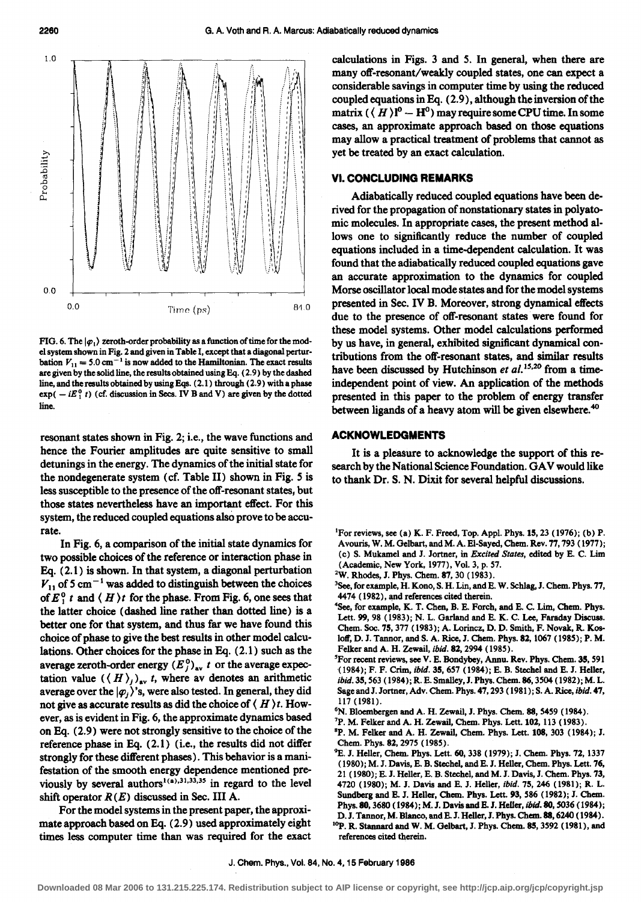

FIG. 6. The  $|\varphi_1\rangle$  zeroth-order probability as a function of time for the model system shown in Fig. 2 and given in Table I, except that a diagonal perturbation  $V_{11} = 5.0 \text{ cm}^{-1}$  is now added to the Hamiltonian. The exact results are given by the solid line, the results obtained using Bq. ( 2.9) by the dashed line, and the results obtained by using Bqs. (2.1) through (2.9) with a phase  $exp(- iE_1^0 t)$  (cf. discussion in Secs. IV B and V) are given by the dotted line.

resonant states shown in Fig. 2; i.e., the wave functions and hence the Fourier amplitudes are quite sensitive to small detunings in the energy. The dynamics of the initial state for the nondegenerate system (cf. Table II) shown in Fig. 5 is less susceptible to the presence of the off-resonant states, but those states nevertheless have an important effect. For this system, the reduced coupled equations also prove to be accurate.

In Fig. 6, a comparison of the initial state dynamics for two possible choices of the reference or interaction phase in Eq. ( 2.1) is shown. In that system, a diagonal perturbation  $V_{11}$  of 5 cm<sup>-1</sup> was added to distinguish between the choices of  $E_1^0$  *t* and  $\langle H \rangle t$  for the phase. From Fig. 6, one sees that the latter choice (dashed line rather than dotted line) is a better one for that system, and thus far we have found this choice of phase to give the best results in other model calculations. Other choices for the phase in Eq. (2.1) such as the average zeroth-order energy  $(E_j^0)_{av}$  *t* or the average expectation value  $((H)_{j})_{av}$  *t*, where av denotes an arithmetic average over the  $|\varphi_1\rangle$ 's, were also tested. In general, they did not give as accurate results as did the choice of ( H ) *t.* However, as is evident in Fig. 6, the approximate dynamics based on Eq. (2.9) were not strongly sensitive to the choice of the reference phase in Eq. (2.1) (i.e., the results did not differ strongly for these different phases). This behavior is a manifestation of the smooth energy dependence mentioned previously by several authors<sup>1(a),31,33,35</sup> in regard to the level shift operator  $R(E)$  discussed in Sec. III A.

For the model systems in the present paper, the approximate approach based on Eq. (2.9) used approximately eight times less computer time than was required for the exact

calculations in Figs. 3 and 5. In general, when there are many off-resonant/weakly coupled states, one can expect a considerable savings in computer time by using the reduced coupled equations in Eq. (2.9), although the inversion of the matrix  $(\langle H \rangle)^0 - H^0$ ) may require some CPU time. In some cases, an approximate approach based on those equations may allow a practical treatment of problems that cannot as yet be treated by an exact calculation.

#### VI. **CONCLUDING REMARKS**

Adiabatically reduced coupled equations have been derived for the propagation of nonstationary states in polyatomic molecules. In appropriate cases, the present method allows one to significantly reduce the number of coupled equations included in a time-dependent calculation. It was found that the adiabatically reduced coupled equations gave an accurate approximation to the dynamics for coupled Morse oscillator local mode states and for the model systems presented in Sec. IV B. Moreover, strong dynamical effects due to the presence of off-resonant states were found for these model systems. Other model calculations performed by us have, in general, exhibited significant dynamical contributions from the off-resonant states, and similar results have been discussed by Hutchinson *et al.*<sup>15,20</sup> from a timeindependent point of view. An application of the methods presented in this paper to the problem of energy transfer between ligands of a heavy atom will be given elsewhere.<sup>40</sup>

# **ACKNOWLEDGMENTS**

It is a pleasure to acknowledge the support of this research by the National Science Foundation. GA V would like to thank Dr. S. N. Dixit for several helpful discussions.

- <sup>1</sup>For reviews, see (a) K. F. Freed, Top. Appl. Phys. 15, 23 (1976); (b) P. Avouris, W. M. Gelbart, and M.A. E1-Sayed, Chem. Rev. 77,793 ( 1977); (c) S. Mukamel and J. Jortner, in *Excited States,* edited by E. C. Lim (Academic, New York, 1977), Vol. 3, p. 57. 2
- <sup>2</sup>W. Rhodes, J. Phys. Chem. 87, 30 (1983).
- <sup>3</sup>See, for example, H. Kono, S. H. Lin, and E. W. Schlag, J. Chem. Phys. 77, 4474 ( 1982), and references cited therein.
- 4 See, for example, K. T. Chen, B. E. Porch, and E. C. Lim, Chem. Phys. Lett. 99, 98 (1983); N. L. Garland and E. K. C. Lee, Faraday Discuss. Chem. Soc. 75, 377 ( 1983); A. Lorincz, D. D. Smith, F. Novak, R. Kosloff, D. J. Tannor, and S. A. Rice, J. Chem. Phys. 82, 1067 ( 1985); P.M. Felker and A. H. Zewail, *ibid.* 82, 2994 (1985).
- For recent reviews, see V. E. Bondybey, Annu. Rev. Phys. Chem. 35, 591 (1984); F. F. Crim, *ibid.* 35, 657 (1984); E. B. Stechel and E. J. Heller, *ibid.35,* 563 (1984); R. E. Smalley,J. Phys. Chem. 86,3504 ( 1982); M. L. Sage and J. Jortner, Adv. Chem. Phys. 47, 293 (1981); S. A. Rice, *ibid.* 47, 117 (1981).<br><sup>6</sup>N. Bloembergen and A. H. Zewail, J. Phys. Chem. 88, 5459 (1984).<br><sup>7</sup>P. M. Felker and A. H. Zewail, Chem. Phys. Lett. 102, 113 (1983).
- 
- 
- ${}^{8}P$ . M. Felker and A. H. Zewail, Chem. Phys. Lett. 108, 303 (1984); J. Chem. Phys. 82,2975 (1985).
- <sup>9</sup>E. J. Heller, Chem. Phys. Lett. 60, 338 (1979); J. Chem. Phys. 72, 1337 ( 1980); M. J. Davis, E. B. Stechel, and E. J. Heller, Chem. Phys. Lett. 76, 21 (1980); E. J. Heller, E. B. Stechel, and M. J. Davis, J. Chem. Phys. 73, 4720 (1980); M. J. Davis and E. J. Heller, *ibid.* 75, 246 (1981); R. L. Sundberg and E. J. Heller, Chem. Phys. Lett. 93, 586 ( 1982); J. Chem. Phys.80, 3680 (1984); M. J. Davis and E. J. Heller, *ibid.* 80, S036 (1984); D.J. Tannor, M. Blanco, and E.J. Heller, J. Phys. Chem. 88, 6240 (1984). <sup>10</sup>P. R. Stannard and W. M. Gelbart, J. Phys. Chem. 85, 3592 (1981), and references cited therein.